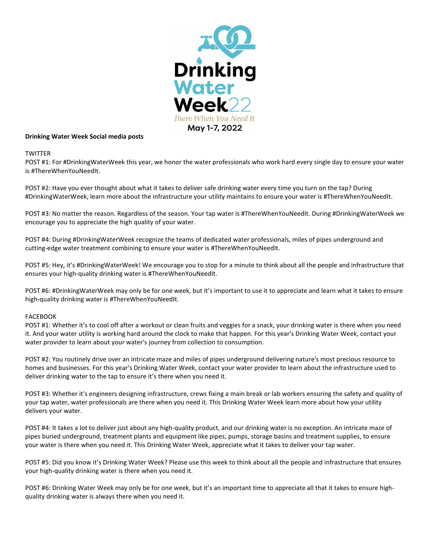

# **Drinking Water Week Social media posts**

# **TWITTER**

POST #1: For #DrinkingWaterWeek this year, we honor the water professionals who work hard every single day to ensure your water is #ThereWhenYouNeedIt.

POST #2: Have you ever thought about what it takes to deliver safe drinking water every time you turn on the tap? During #DrinkingWaterWeek, learn more about the infrastructure your utility maintains to ensure your water is #ThereWhenYouNeedIt.

POST #3: No matter the reason. Regardless of the season. Your tap water is #ThereWhenYouNeedIt. During #DrinkingWaterWeek we encourage you to appreciate the high quality of your water.

POST #4: During #DrinkingWaterWeek recognize the teams of dedicated water professionals, miles of pipes underground and cutting-edge water treatment combining to ensure your water is #ThereWhenYouNeedIt.

POST #5: Hey, it's #DrinkingWaterWeek! We encourage you to stop for a minute to think about all the people and infrastructure that ensures your high-quality drinking water is #ThereWhenYouNeedIt.

POST #6: #DrinkingWaterWeek may only be for one week, but it's important to use it to appreciate and learn what it takes to ensure high-quality drinking water is #ThereWhenYouNeedIt.

# FACEBOOK

POST #1: Whether it's to cool off after a workout or clean fruits and veggies for a snack, your drinking water is there when you need it. And your water utility is working hard around the clock to make that happen. For this year's Drinking Water Week, contact your water provider to learn about your water's journey from collection to consumption.

POST #2: You routinely drive over an intricate maze and miles of pipes underground delivering nature's most precious resource to homes and businesses. For this year's Drinking Water Week, contact your water provider to learn about the infrastructure used to deliver drinking water to the tap to ensure it's there when you need it.

POST #3: Whether it's engineers designing infrastructure, crews fixing a main break or lab workers ensuring the safety and quality of your tap water, water professionals are there when you need it. This Drinking Water Week learn more about how your utility delivers your water.

POST #4: It takes a lot to deliver just about any high-quality product, and our drinking water is no exception. An intricate maze of pipes buried underground, treatment plants and equipment like pipes, pumps, storage basins and treatment supplies, to ensure your water is there when you need it. This Drinking Water Week, appreciate what it takes to deliver your tap water.

POST #5: Did you know it's Drinking Water Week? Please use this week to think about all the people and infrastructure that ensures your high-quality drinking water is there when you need it.

POST #6: Drinking Water Week may only be for one week, but it's an important time to appreciate all that it takes to ensure highquality drinking water is always there when you need it.